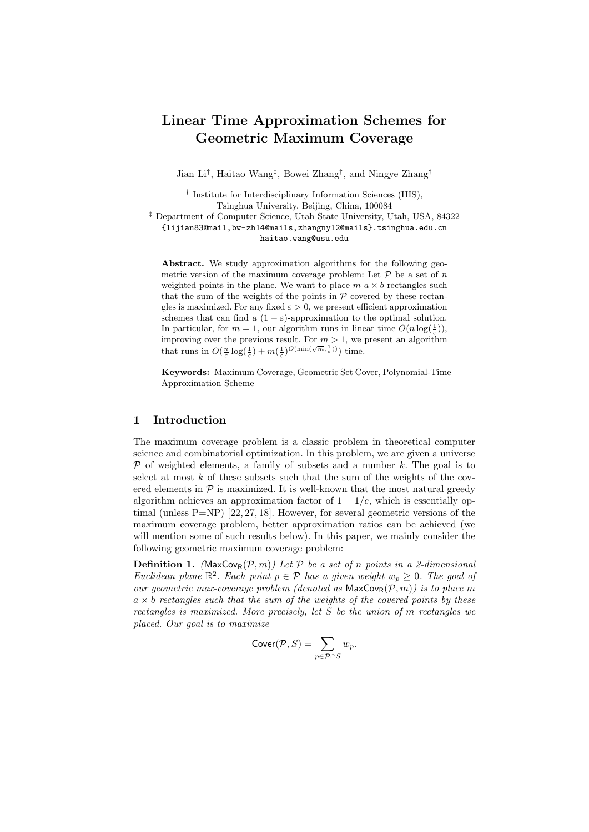# Linear Time Approximation Schemes for Geometric Maximum Coverage

Jian Li<sup>†</sup>, Haitao Wang<sup>‡</sup>, Bowei Zhang<sup>†</sup>, and Ningye Zhang<sup>†</sup>

† Institute for Interdisciplinary Information Sciences (IIIS), Tsinghua University, Beijing, China, 100084

‡ Department of Computer Science, Utah State University, Utah, USA, 84322 {lijian83@mail,bw-zh14@mails,zhangny12@mails}.tsinghua.edu.cn haitao.wang@usu.edu

Abstract. We study approximation algorithms for the following geometric version of the maximum coverage problem: Let  $P$  be a set of n weighted points in the plane. We want to place  $m \alpha \times b$  rectangles such that the sum of the weights of the points in  $P$  covered by these rectangles is maximized. For any fixed  $\varepsilon > 0$ , we present efficient approximation schemes that can find a  $(1 - \varepsilon)$ -approximation to the optimal solution. In particular, for  $m = 1$ , our algorithm runs in linear time  $O(n \log(\frac{1}{\varepsilon}))$ , improving over the previous result. For  $m > 1$ , we present an algorithm that runs in  $O(\frac{n}{\varepsilon} \log(\frac{1}{\varepsilon}) + m(\frac{1}{\varepsilon})^{O(\min(\sqrt{m}, \frac{1}{\varepsilon}))})$  time.

Keywords: Maximum Coverage, Geometric Set Cover, Polynomial-Time Approximation Scheme

#### 1 Introduction

The maximum coverage problem is a classic problem in theoretical computer science and combinatorial optimization. In this problem, we are given a universe  $\mathcal P$  of weighted elements, a family of subsets and a number k. The goal is to select at most  $k$  of these subsets such that the sum of the weights of the covered elements in  $P$  is maximized. It is well-known that the most natural greedy algorithm achieves an approximation factor of  $1 - 1/e$ , which is essentially optimal (unless P=NP) [22, 27, 18]. However, for several geometric versions of the maximum coverage problem, better approximation ratios can be achieved (we will mention some of such results below). In this paper, we mainly consider the following geometric maximum coverage problem:

**Definition 1.** (MaxCov<sub>R</sub>( $\mathcal{P}, m$ )) Let  $\mathcal{P}$  be a set of n points in a 2-dimensional Euclidean plane  $\mathbb{R}^2$ . Each point  $p \in \mathcal{P}$  has a given weight  $w_p \geq 0$ . The goal of our geometric max-coverage problem (denoted as  $\mathsf{MaxCov}_R(\overline{\mathcal{P}}, m)$ ) is to place m  $a \times b$  rectangles such that the sum of the weights of the covered points by these rectangles is maximized. More precisely, let S be the union of m rectangles we placed. Our goal is to maximize

$$
Cover(\mathcal{P}, S) = \sum_{p \in \mathcal{P} \cap S} w_p.
$$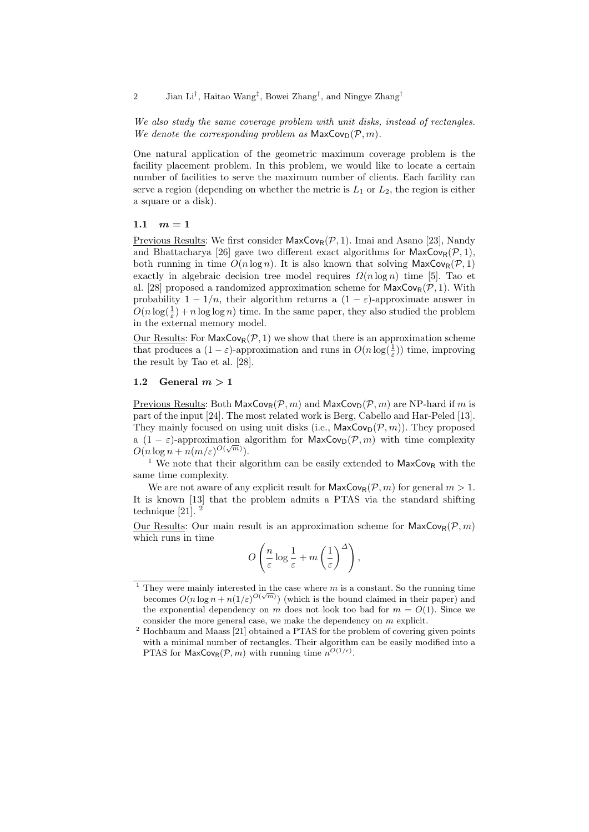2 Jian Li<sup>†</sup>, Haitao Wang<sup>‡</sup>, Bowei Zhang<sup>†</sup>, and Ningye Zhang<sup>†</sup>

We also study the same coverage problem with unit disks, instead of rectangles. We denote the corresponding problem as  $\mathsf{MaxCov}_D(\mathcal{P}, m)$ .

One natural application of the geometric maximum coverage problem is the facility placement problem. In this problem, we would like to locate a certain number of facilities to serve the maximum number of clients. Each facility can serve a region (depending on whether the metric is  $L_1$  or  $L_2$ , the region is either a square or a disk).

1.1  $m = 1$ 

Previous Results: We first consider  $\mathsf{MaxCov}_{R}(\mathcal{P}, 1)$ . Imai and Asano [23], Nandy and Bhattacharya [26] gave two different exact algorithms for  $\mathsf{MaxCov}_R(\mathcal{P}, 1)$ , both running in time  $O(n \log n)$ . It is also known that solving  $\mathsf{MaxCov}_R(\mathcal{P}, 1)$ exactly in algebraic decision tree model requires  $\Omega(n \log n)$  time [5]. Tao et al. [28] proposed a randomized approximation scheme for  $\mathsf{MaxCov}_{\mathsf{R}}(\mathcal{P}, 1)$ . With probability  $1 - 1/n$ , their algorithm returns a  $(1 - \varepsilon)$ -approximate answer in  $O(n \log(\frac{1}{\varepsilon}) + n \log \log n)$  time. In the same paper, they also studied the problem in the external memory model.

Our Results: For  $MaxCov_R(\mathcal{P}, 1)$  we show that there is an approximation scheme that produces a  $(1 - \varepsilon)$ -approximation and runs in  $O(n \log(\frac{1}{\varepsilon}))$  time, improving the result by Tao et al. [28].

#### 1.2 General  $m > 1$

Previous Results: Both  $\mathsf{MaxCov}_R(\mathcal{P}, m)$  and  $\mathsf{MaxCov}_D(\mathcal{P}, m)$  are NP-hard if m is part of the input [24]. The most related work is Berg, Cabello and Har-Peled [13]. They mainly focused on using unit disks (i.e.,  $\mathsf{MaxCov}_D(\mathcal{P}, m)$ ). They proposed a (1 –  $\varepsilon$ )-approximation algorithm for MaxCov<sub>D</sub>( $\mathcal{P}, m$ ) with time complexity  $O(n \log n + n(m/\varepsilon)^{O(\sqrt{m})}).$ 

<sup>1</sup> We note that their algorithm can be easily extended to  $MaxCov_R$  with the same time complexity.

We are not aware of any explicit result for  $\mathsf{MaxCov}_R(\mathcal{P}, m)$  for general  $m > 1$ . It is known [13] that the problem admits a PTAS via the standard shifting technique [21]. <sup>2</sup>

Our Results: Our main result is an approximation scheme for  $\mathsf{MaxCov}_R(\mathcal{P}, m)$ which runs in time

$$
O\left(\frac{n}{\varepsilon}\log\frac{1}{\varepsilon} + m\left(\frac{1}{\varepsilon}\right)^{\Delta}\right),\,
$$

<sup>&</sup>lt;sup>1</sup> They were mainly interested in the case where  $m$  is a constant. So the running time becomes  $O(n \log n + n(1/\varepsilon)^{O(\sqrt{m})})$  (which is the bound claimed in their paper) and the exponential dependency on m does not look too bad for  $m = O(1)$ . Since we consider the more general case, we make the dependency on  $m$  explicit.

<sup>2</sup> Hochbaum and Maass [21] obtained a PTAS for the problem of covering given points with a minimal number of rectangles. Their algorithm can be easily modified into a PTAS for  $\mathsf{MaxCov}_R(\mathcal{P}, m)$  with running time  $n^{O(1/\epsilon)}$ .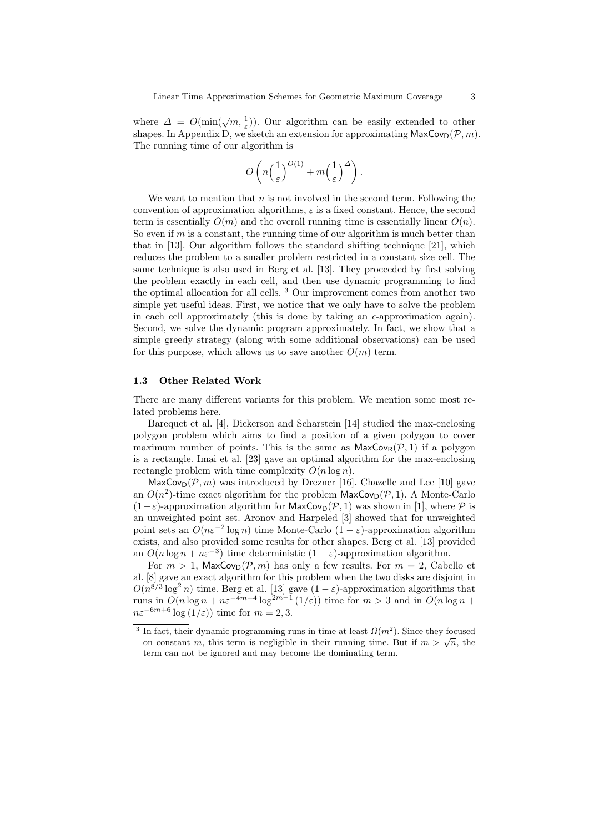where  $\Delta = O(\min(\sqrt{m}, \frac{1}{\varepsilon}))$ . Our algorithm can be easily extended to other shapes. In Appendix D, we sketch an extension for approximating  $\mathsf{MaxCov}_D(\mathcal{P}, m)$ . The running time of our algorithm is

$$
O\left(n\left(\frac{1}{\varepsilon}\right)^{O(1)} + m\left(\frac{1}{\varepsilon}\right)^{\Delta}\right).
$$

We want to mention that  $n$  is not involved in the second term. Following the convention of approximation algorithms,  $\varepsilon$  is a fixed constant. Hence, the second term is essentially  $O(m)$  and the overall running time is essentially linear  $O(n)$ . So even if  $m$  is a constant, the running time of our algorithm is much better than that in [13]. Our algorithm follows the standard shifting technique [21], which reduces the problem to a smaller problem restricted in a constant size cell. The same technique is also used in Berg et al. [13]. They proceeded by first solving the problem exactly in each cell, and then use dynamic programming to find the optimal allocation for all cells. <sup>3</sup> Our improvement comes from another two simple yet useful ideas. First, we notice that we only have to solve the problem in each cell approximately (this is done by taking an  $\epsilon$ -approximation again). Second, we solve the dynamic program approximately. In fact, we show that a simple greedy strategy (along with some additional observations) can be used for this purpose, which allows us to save another  $O(m)$  term.

#### 1.3 Other Related Work

There are many different variants for this problem. We mention some most related problems here.

Barequet et al. [4], Dickerson and Scharstein [14] studied the max-enclosing polygon problem which aims to find a position of a given polygon to cover maximum number of points. This is the same as  $\mathsf{MaxCov}_R(\mathcal{P}, 1)$  if a polygon is a rectangle. Imai et al. [23] gave an optimal algorithm for the max-enclosing rectangle problem with time complexity  $O(n \log n)$ .

 $\textsf{MaxCov}_{\textsf{D}}(\mathcal{P}, m)$  was introduced by Drezner [16]. Chazelle and Lee [10] gave an  $O(n^2)$ -time exact algorithm for the problem  $\mathsf{MaxCov}_D(\mathcal{P}, 1)$ . A Monte-Carlo  $(1-\varepsilon)$ -approximation algorithm for MaxCov<sub>D</sub>( $\mathcal{P}$ , 1) was shown in [1], where  $\mathcal P$  is an unweighted point set. Aronov and Harpeled [3] showed that for unweighted point sets an  $O(n\varepsilon^{-2} \log n)$  time Monte-Carlo  $(1 - \varepsilon)$ -approximation algorithm exists, and also provided some results for other shapes. Berg et al. [13] provided an  $O(n \log n + n\varepsilon^{-3})$  time deterministic  $(1 - \varepsilon)$ -approximation algorithm.

For  $m > 1$ , MaxCov<sub>D</sub>( $P, m$ ) has only a few results. For  $m = 2$ , Cabello et al. [8] gave an exact algorithm for this problem when the two disks are disjoint in  $O(n^{8/3} \log^2 n)$  time. Berg et al. [13] gave  $(1 - \varepsilon)$ -approximation algorithms that runs in  $O(n \log n + n\varepsilon^{-4m+4} \log^{2m-1}(1/\varepsilon))$  time for  $m > 3$  and in  $O(n \log n +$  $n\varepsilon^{-6m+6}$  log  $(1/\varepsilon)$ ) time for  $m = 2, 3$ .

<sup>&</sup>lt;sup>3</sup> In fact, their dynamic programming runs in time at least  $\Omega(m^2)$ . Since they focused on constant m, this term is negligible in their running time. But if  $m > \sqrt{n}$ , the term can not be ignored and may become the dominating term.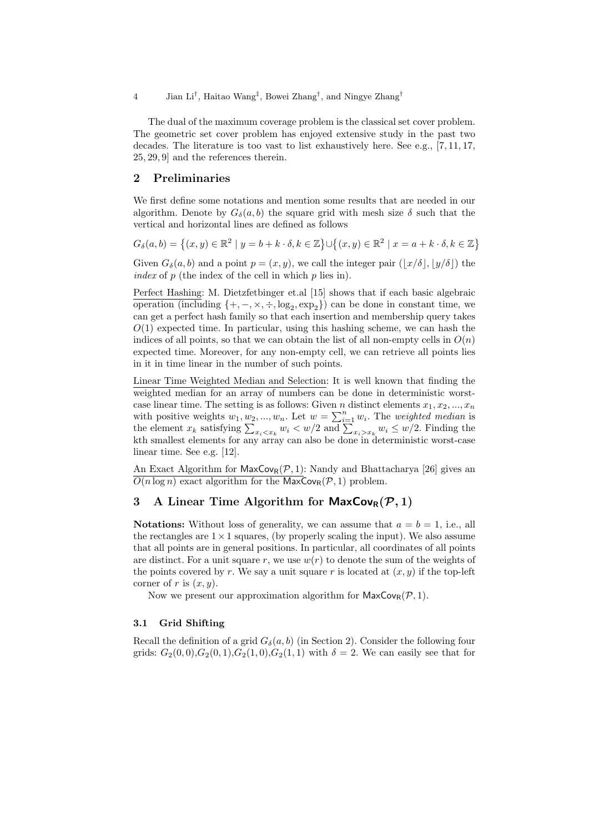4 Jian Li† , Haitao Wang‡ , Bowei Zhang† , and Ningye Zhang†

The dual of the maximum coverage problem is the classical set cover problem. The geometric set cover problem has enjoyed extensive study in the past two decades. The literature is too vast to list exhaustively here. See e.g., [7, 11, 17, 25, 29, 9] and the references therein.

#### 2 Preliminaries

We first define some notations and mention some results that are needed in our algorithm. Denote by  $G_{\delta}(a, b)$  the square grid with mesh size  $\delta$  such that the vertical and horizontal lines are defined as follows

$$
G_{\delta}(a,b) = \left\{ (x,y) \in \mathbb{R}^2 \mid y = b + k \cdot \delta, k \in \mathbb{Z} \right\} \cup \left\{ (x,y) \in \mathbb{R}^2 \mid x = a + k \cdot \delta, k \in \mathbb{Z} \right\}
$$

Given  $G_{\delta}(a, b)$  and a point  $p = (x, y)$ , we call the integer pair  $(|x/\delta|, |y/\delta|)$  the index of  $p$  (the index of the cell in which  $p$  lies in).

Perfect Hashing: M. Dietzfetbinger et.al [15] shows that if each basic algebraic operation (including  $\{+,-, \times, \div, \log_2, \exp_2\}$ ) can be done in constant time, we can get a perfect hash family so that each insertion and membership query takes  $O(1)$  expected time. In particular, using this hashing scheme, we can hash the indices of all points, so that we can obtain the list of all non-empty cells in  $O(n)$ expected time. Moreover, for any non-empty cell, we can retrieve all points lies in it in time linear in the number of such points.

Linear Time Weighted Median and Selection: It is well known that finding the weighted median for an array of numbers can be done in deterministic worstcase linear time. The setting is as follows: Given n distinct elements  $x_1, x_2, ..., x_n$ with positive weights  $w_1, w_2, ..., w_n$ . Let  $w = \sum_{i=1}^n w_i$ . The *weighted median* is the element  $x_k$  satisfying  $\sum_{x_i \le x_k} w_i \le w/2$  and  $\sum_{x_i > x_k} w_i \le w/2$ . Finding the kth smallest elements for any array can also be done in deterministic worst-case linear time. See e.g. [12].

An Exact Algorithm for  $\mathsf{MaxCov}_R(\mathcal{P}, 1)$ : Nandy and Bhattacharya [26] gives an  $\overline{O(n \log n)}$  exact algorithm for the MaxCov<sub>R</sub>( $\mathcal{P}, 1$ ) problem.

# 3 A Linear Time Algorithm for  $\mathsf{MaxCov}_R(\mathcal{P}, 1)$

**Notations:** Without loss of generality, we can assume that  $a = b = 1$ , i.e., all the rectangles are  $1 \times 1$  squares, (by properly scaling the input). We also assume that all points are in general positions. In particular, all coordinates of all points are distinct. For a unit square r, we use  $w(r)$  to denote the sum of the weights of the points covered by r. We say a unit square r is located at  $(x, y)$  if the top-left corner of r is  $(x, y)$ .

Now we present our approximation algorithm for  $\mathsf{MaxCov}_R(\mathcal{P}, 1)$ .

#### 3.1 Grid Shifting

Recall the definition of a grid  $G_{\delta}(a, b)$  (in Section 2). Consider the following four grids:  $G_2(0,0), G_2(0,1), G_2(1,0), G_2(1,1)$  with  $\delta = 2$ . We can easily see that for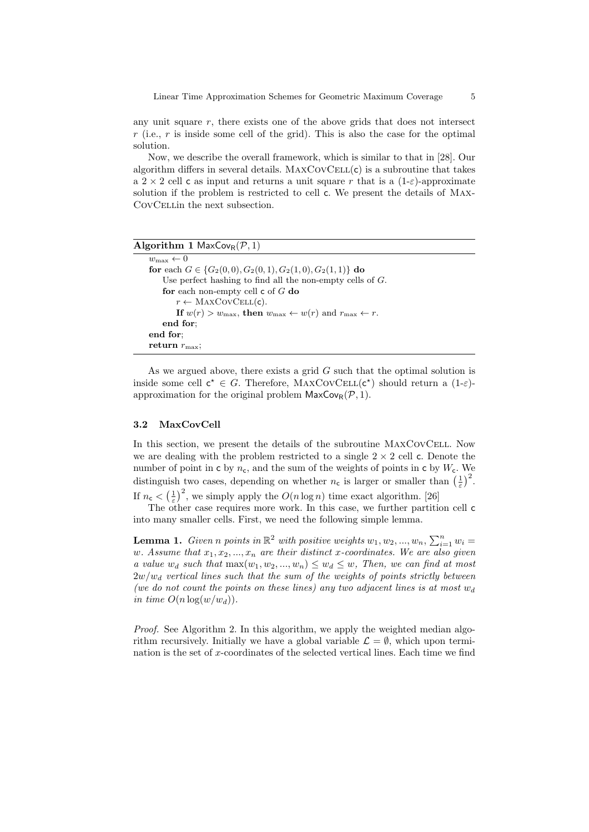any unit square  $r$ , there exists one of the above grids that does not intersect  $r$  (i.e.,  $r$  is inside some cell of the grid). This is also the case for the optimal solution.

Now, we describe the overall framework, which is similar to that in [28]. Our algorithm differs in several details.  $MAXCovCELL(c)$  is a subroutine that takes a 2 × 2 cell c as input and returns a unit square r that is a  $(1-\varepsilon)$ -approximate solution if the problem is restricted to cell c. We present the details of Max-CovCellin the next subsection.

| <b>Algorithm 1 MaxCov</b> <sub>R</sub> $(\mathcal{P}, 1)$                                              |  |
|--------------------------------------------------------------------------------------------------------|--|
| $w_{\text{max}} \leftarrow 0$                                                                          |  |
| for each $G \in \{G_2(0,0), G_2(0,1), G_2(1,0), G_2(1,1)\}\$ do                                        |  |
| Use perfect hashing to find all the non-empty cells of $G$ .                                           |  |
| for each non-empty cell $\mathsf c$ of $G$ do                                                          |  |
| $r \leftarrow \text{MAXCovCELL}(\mathsf{c}).$                                                          |  |
| If $w(r) > w_{\text{max}}$ , then $w_{\text{max}} \leftarrow w(r)$ and $r_{\text{max}} \leftarrow r$ . |  |
| end for;                                                                                               |  |
| end for:                                                                                               |  |
| return $r_{\text{max}}$ :                                                                              |  |

As we argued above, there exists a grid  $G$  such that the optimal solution is inside some cell  $c^* \in G$ . Therefore, MAXCOVCELL $(c^*)$  should return a  $(1-\varepsilon)$ approximation for the original problem  $\mathsf{MaxCov}_R(\mathcal{P}, 1)$ .

#### 3.2 MaxCovCell

In this section, we present the details of the subroutine MaxCovCell. Now we are dealing with the problem restricted to a single  $2 \times 2$  cell c. Denote the number of point in c by  $n_c$ , and the sum of the weights of points in c by  $W_c$ . We distinguish two cases, depending on whether  $n_c$  is larger or smaller than  $(\frac{1}{\varepsilon})^2$ . If  $n_c < \left(\frac{1}{\varepsilon}\right)^2$ , we simply apply the  $O(n \log n)$  time exact algorithm. [26]

The other case requires more work. In this case, we further partition cell c into many smaller cells. First, we need the following simple lemma.

**Lemma 1.** Given n points in  $\mathbb{R}^2$  with positive weights  $w_1, w_2, ..., w_n, \sum_{i=1}^n w_i =$ w. Assume that  $x_1, x_2, ..., x_n$  are their distinct x-coordinates. We are also given a value  $w_d$  such that  $\max(w_1, w_2, ..., w_n) \leq w_d \leq w$ , Then, we can find at most  $2w/w_d$  vertical lines such that the sum of the weights of points strictly between (we do not count the points on these lines) any two adjacent lines is at most  $w_d$ in time  $O(n \log(w/w_d))$ .

Proof. See Algorithm 2. In this algorithm, we apply the weighted median algorithm recursively. Initially we have a global variable  $\mathcal{L} = \emptyset$ , which upon termination is the set of x-coordinates of the selected vertical lines. Each time we find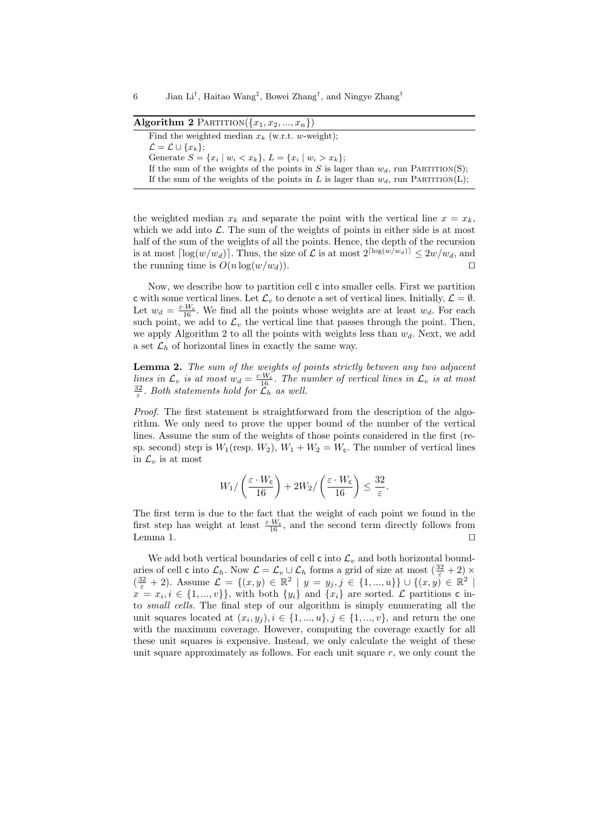#### Algorithm 2 PARTITION $({x_1, x_2, ..., x_n})$

Find the weighted median  $x_k$  (w.r.t. w-weight):  $\mathcal{L} = \mathcal{L} \cup \{x_k\};$ Generate  $S = \{x_i \mid w_i < x_k\}, L = \{x_i \mid w_i > x_k\};$ If the sum of the weights of the points in S is lager than  $w_d$ , run PARTITION(S); If the sum of the weights of the points in L is lager than  $w_d$ , run PARTITION(L);

the weighted median  $x_k$  and separate the point with the vertical line  $x = x_k$ , which we add into  $\mathcal{L}$ . The sum of the weights of points in either side is at most half of the sum of the weights of all the points. Hence, the depth of the recursion is at most  $\lceil \log(w/w_d) \rceil$ . Thus, the size of  $\mathcal L$  is at most  $2^{\lceil \log(w/w_d) \rceil} \leq 2w/w_d$ , and the running time is  $O(n \log(w/w_d))$ .

Now, we describe how to partition cell c into smaller cells. First we partition c with some vertical lines. Let  $\mathcal{L}_v$  to denote a set of vertical lines. Initially,  $\mathcal{L} = \emptyset$ . Let  $w_d = \frac{\varepsilon \cdot W_c}{16}$ . We find all the points whose weights are at least  $w_d$ . For each such point, we add to  $\mathcal{L}_v$  the vertical line that passes through the point. Then, we apply Algorithm 2 to all the points with weights less than  $w_d$ . Next, we add a set  $\mathcal{L}_h$  of horizontal lines in exactly the same way.

Lemma 2. The sum of the weights of points strictly between any two adjacent lines in  $\mathcal{L}_v$  is at most  $w_d = \frac{\varepsilon \cdot W_c}{16}$ . The number of vertical lines in  $\mathcal{L}_v$  is at most  $rac{32}{\varepsilon}$ . Both statements hold for  $\widetilde{\mathcal{L}}_h$  as well.

Proof. The first statement is straightforward from the description of the algorithm. We only need to prove the upper bound of the number of the vertical lines. Assume the sum of the weights of those points considered in the first (resp. second) step is  $W_1$ (resp.  $W_2$ ),  $W_1 + W_2 = W_c$ . The number of vertical lines in  $\mathcal{L}_v$  is at most

$$
W_1 / \left(\frac{\varepsilon \cdot W_{\mathsf{c}}}{16}\right) + 2W_2 / \left(\frac{\varepsilon \cdot W_{\mathsf{c}}}{16}\right) \le \frac{32}{\varepsilon}.
$$

The first term is due to the fact that the weight of each point we found in the first step has weight at least  $\frac{\varepsilon \cdot W_c}{16}$ , and the second term directly follows from Lemma 1.  $\Box$ 

We add both vertical boundaries of cell  $\mathsf c$  into  $\mathcal L_v$  and both horizontal boundaries of cell c into  $\mathcal{L}_h$ . Now  $\mathcal{L} = \mathcal{L}_v \cup \mathcal{L}_h$  forms a grid of size at most  $\left(\frac{32}{\varepsilon} + 2\right) \times$  $(\frac{32}{\varepsilon}+2)$ . Assume  $\mathcal{L} = \{(x,y) \in \mathbb{R}^2 \mid y = y_j, j \in \{1, ..., u\}\} \cup \{(x,y) \in \mathbb{R}^2 \mid x \in \mathbb{R}^2 \mid y = y_j, j \in \{1, ..., u\}\}\$  $x = x_i, i \in \{1, ..., v\}$ , with both  $\{y_i\}$  and  $\{x_i\}$  are sorted.  $\mathcal{L}$  partitions c into small cells. The final step of our algorithm is simply enumerating all the unit squares located at  $(x_i, y_j), i \in \{1, ..., u\}, j \in \{1, ..., v\}$ , and return the one with the maximum coverage. However, computing the coverage exactly for all these unit squares is expensive. Instead, we only calculate the weight of these unit square approximately as follows. For each unit square  $r$ , we only count the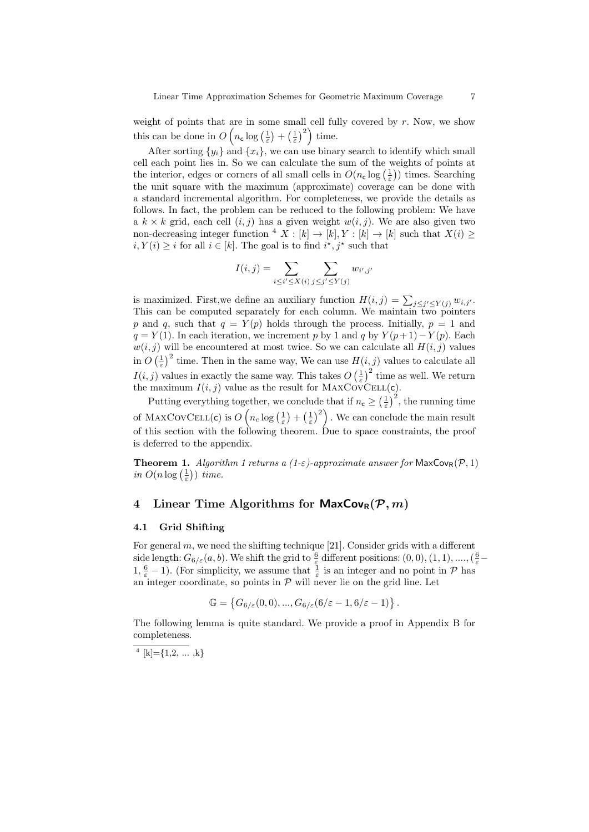weight of points that are in some small cell fully covered by  $r$ . Now, we show this can be done in  $O\left(n_c \log\left(\frac{1}{\varepsilon}\right) + \left(\frac{1}{\varepsilon}\right)^2\right)$  time.

After sorting  $\{y_i\}$  and  $\{x_i\}$ , we can use binary search to identify which small cell each point lies in. So we can calculate the sum of the weights of points at the interior, edges or corners of all small cells in  $O(n_{\text{c}} \log\left(\frac{1}{\varepsilon}\right))$  times. Searching the unit square with the maximum (approximate) coverage can be done with a standard incremental algorithm. For completeness, we provide the details as follows. In fact, the problem can be reduced to the following problem: We have a  $k \times k$  grid, each cell  $(i, j)$  has a given weight  $w(i, j)$ . We are also given two non-decreasing integer function  $4 X : [k] \rightarrow [k], Y : [k] \rightarrow [k]$  such that  $X(i) \geq$  $i, Y(i) \geq i$  for all  $i \in [k]$ . The goal is to find  $i^*, j^*$  such that

$$
I(i,j) = \sum_{i \leq i' \leq X(i)} \sum_{j \leq j' \leq Y(j)} w_{i',j'}
$$

is maximized. First, we define an auxiliary function  $H(i, j) = \sum_{j \leq j' \leq Y(j)} w_{i, j'}$ . This can be computed separately for each column. We maintain two pointers p and q, such that  $q = Y(p)$  holds through the process. Initially,  $p = 1$  and  $q = Y(1)$ . In each iteration, we increment p by 1 and q by  $Y(p+1)-Y(p)$ . Each  $w(i, j)$  will be encountered at most twice. So we can calculate all  $H(i, j)$  values in  $O\left(\frac{1}{\varepsilon}\right)^2$  time. Then in the same way, We can use  $H(i, j)$  values to calculate all  $I(i, j)$  values in exactly the same way. This takes  $O\left(\frac{1}{\varepsilon}\right)^2$  time as well. We return the maximum  $I(i, j)$  value as the result for MAXCOVCELL(c).

Putting everything together, we conclude that if  $n_c \geq \left(\frac{1}{\varepsilon}\right)^2$ , the running time of MAXCOVCELL(c) is  $O(n_c \log(\frac{1}{\varepsilon}) + (\frac{1}{\varepsilon})^2)$  . We can conclude the main result of this section with the following theorem. Due to space constraints, the proof is deferred to the appendix.

**Theorem 1.** Algorithm 1 returns a  $(1-\varepsilon)$ -approximate answer for MaxCov<sub>R</sub> $(\mathcal{P}, 1)$ in  $O(n \log(\frac{1}{\varepsilon}))$  time.

# 4 Linear Time Algorithms for  $\mathsf{MaxCov}_R(\mathcal{P}, m)$

#### 4.1 Grid Shifting

For general  $m$ , we need the shifting technique [21]. Consider grids with a different side length:  $G_{6/\varepsilon}(a, b)$ . We shift the grid to  $\frac{6}{\varepsilon}$  different positions:  $(0, 0), (1, 1), \dots, (\frac{6}{\varepsilon}-1)$  $1, \frac{6}{\varepsilon} - 1$ ). (For simplicity, we assume that  $\frac{1}{\varepsilon}$  is an integer and no point in  $\mathcal{P}$  has an integer coordinate, so points in  $P$  will never lie on the grid line. Let

$$
\mathbb{G} = \left\{ G_{6/\varepsilon}(0,0), ..., G_{6/\varepsilon}(6/\varepsilon - 1, 6/\varepsilon - 1) \right\}.
$$

The following lemma is quite standard. We provide a proof in Appendix B for completeness.

<sup>4</sup> [k]={1,2, ..., k}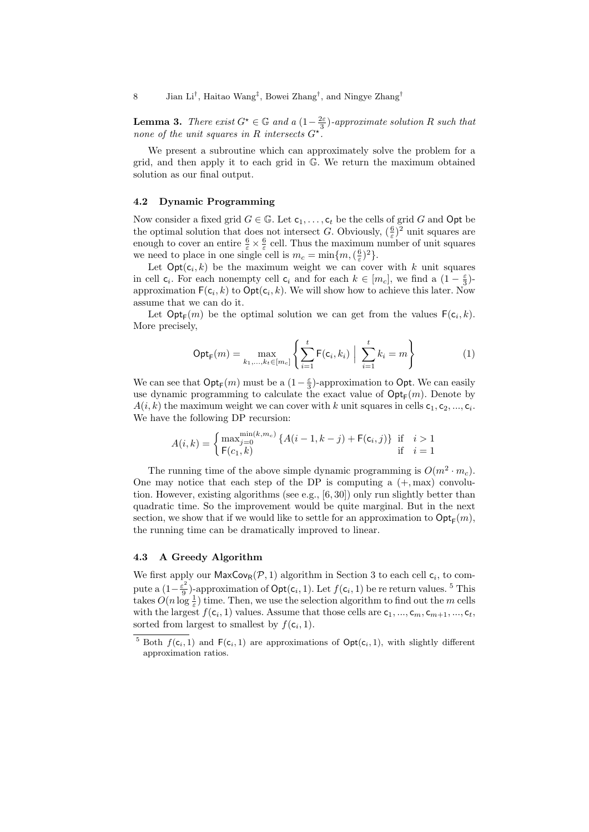**Lemma 3.** There exist  $G^* \in \mathbb{G}$  and a  $(1 - \frac{2\varepsilon}{3})$ -approximate solution R such that none of the unit squares in R intersects  $G^*$ .

We present a subroutine which can approximately solve the problem for a grid, and then apply it to each grid in G. We return the maximum obtained solution as our final output.

#### 4.2 Dynamic Programming

Now consider a fixed grid  $G \in \mathbb{G}$ . Let  $c_1, \ldots, c_t$  be the cells of grid G and Opt be the optimal solution that does not intersect G. Obviously,  $(\frac{6}{\varepsilon})^2$  unit squares are enough to cover an entire  $\frac{6}{\varepsilon} \times \frac{6}{\varepsilon}$  cell. Thus the maximum number of unit squares we need to place in one single cell is  $m_c = \min\{m, (\frac{6}{\varepsilon})^2\}.$ 

Let  $Opt(c_i, k)$  be the maximum weight we can cover with k unit squares in cell  $c_i$ . For each nonempty cell  $c_i$  and for each  $k \in [m_c]$ , we find a  $(1 - \frac{\varepsilon}{3})$ approximation  $F(c_i, k)$  to  $\mathsf{Opt}(c_i, k)$ . We will show how to achieve this later. Now assume that we can do it.

Let  $\mathsf{Opt}_{\mathsf{F}}(m)$  be the optimal solution we can get from the values  $\mathsf{F}(\mathsf{c}_i,k)$ . More precisely,

$$
Opt_F(m) = \max_{k_1, ..., k_t \in [m_c]} \left\{ \sum_{i=1}^t F(c_i, k_i) \middle| \sum_{i=1}^t k_i = m \right\}
$$
 (1)

We can see that  $\mathsf{Opt}_{\mathsf{F}}(m)$  must be a  $(1-\frac{\varepsilon}{3})$ -approximation to  $\mathsf{Opt}$ . We can easily use dynamic programming to calculate the exact value of  $\mathrm{Opt}_{\mathsf{F}}(m)$ . Denote by  $A(i, k)$  the maximum weight we can cover with k unit squares in cells  $c_1, c_2, ..., c_i$ . We have the following DP recursion:

$$
A(i,k) = \begin{cases} \max_{j=0}^{\min(k,m_c)} \{ A(i-1,k-j) + \mathsf{F}(\mathsf{c}_i,j) \} & \text{if } i > 1\\ \mathsf{F}(\mathsf{c}_1,k) & \text{if } i = 1 \end{cases}
$$

The running time of the above simple dynamic programming is  $O(m^2 \cdot m_c)$ . One may notice that each step of the DP is computing a  $(+, \text{max})$  convolution. However, existing algorithms (see e.g., [6, 30]) only run slightly better than quadratic time. So the improvement would be quite marginal. But in the next section, we show that if we would like to settle for an approximation to  $\mathsf{Opt}_{\mathsf{F}}(m)$ , the running time can be dramatically improved to linear.

#### 4.3 A Greedy Algorithm

We first apply our  $\mathsf{MaxCov}_{\mathsf{R}}(\mathcal{P},1)$  algorithm in Section 3 to each cell  $\mathsf{c}_i$ , to compute a  $(1-\frac{\varepsilon^2}{9})$  $\frac{\sigma^2}{9}$ )-approximation of  $\mathsf{Opt}(c_i, 1)$ . Let  $f(c_i, 1)$  be re return values. <sup>5</sup> This takes  $O(n \log \frac{1}{\varepsilon})$  time. Then, we use the selection algorithm to find out the m cells with the largest  $f(c_i, 1)$  values. Assume that those cells are  $c_1, ..., c_m, c_{m+1}, ..., c_t$ , sorted from largest to smallest by  $f(c_i, 1)$ .

<sup>&</sup>lt;sup>5</sup> Both  $f(c_i, 1)$  and  $F(c_i, 1)$  are approximations of  $Opt(c_i, 1)$ , with slightly different approximation ratios.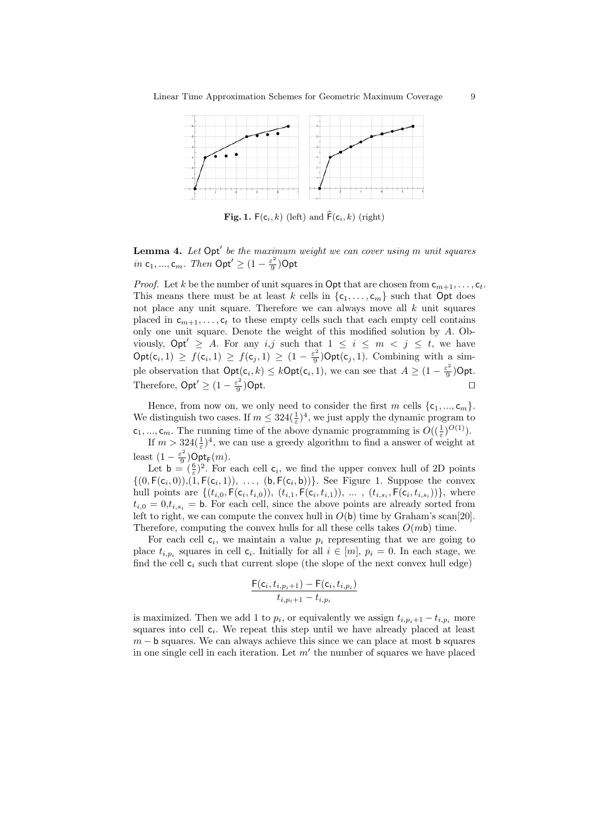

**Fig. 1.**  $F(c_i, k)$  (left) and  $\widehat{F}(c_i, k)$  (right)

**Lemma 4.** Let  $Opt'$  be the maximum weight we can cover using m unit squares in  $c_1, ..., c_m$ . Then  $Opt' \geq (1 - \frac{\varepsilon^2}{9})$  $\frac{\varepsilon^2}{9}$ )Opt

*Proof.* Let k be the number of unit squares in Opt that are chosen from  $c_{m+1}, \ldots, c_t$ . This means there must be at least k cells in  $\{c_1, \ldots, c_m\}$  such that Opt does not place any unit square. Therefore we can always move all  $k$  unit squares placed in  $c_{m+1}, \ldots, c_t$  to these empty cells such that each empty cell contains only one unit square. Denote the weight of this modified solution by A. Obviously,  $\mathsf{Opt}' \geq A$ . For any i,j such that  $1 \leq i \leq m \leq j \leq t$ , we have  $\text{Opt}(c_i, 1) \ge f(c_i, 1) \ge f(c_j, 1) \ge (1 - \frac{\varepsilon^2}{9})$  $\frac{\varepsilon^2}{9}$ )Opt(c<sub>j</sub>, 1). Combining with a simple observation that  $\text{Opt}(c_i, k) \leq k \text{Opt}(c_i, 1)$ , we can see that  $A \geq (1 - \frac{\varepsilon^2}{9})$  $\frac{\varepsilon^2}{9}$ )Opt. Therefore,  $\mathsf{Opt}' \geq (1 - \frac{\varepsilon^2}{9})$ 9 ) Opt.  $\Box$ 

Hence, from now on, we only need to consider the first m cells  $\{c_1, ..., c_m\}$ . We distinguish two cases. If  $m \leq 324(\frac{1}{\varepsilon})^4$ , we just apply the dynamic program to  $c_1, ..., c_m$ . The running time of the above dynamic programming is  $O((\frac{1}{\varepsilon})^{O(1)})$ .

If  $m > 324(\frac{1}{\varepsilon})^4$ , we can use a greedy algorithm to find a answer of weight at least  $(1 - \frac{\varepsilon^2}{9})$  $\frac{2}{9}$ )Opt<sub>F</sub> $(m)$ .

Let  $\mathbf{b} = (\frac{\mathbf{6}}{\varepsilon})^2$ . For each cell  $\mathbf{c}_i$ , we find the upper convex hull of 2D points  $\{(0, \mathsf{F}(\mathsf{c}_i, 0)), (1, \mathsf{F}(\mathsf{c}_i, 1)), \ldots, (\mathsf{b}, \mathsf{F}(\mathsf{c}_i, \mathsf{b}))\}$ . See Figure 1. Suppose the convex hull points are  $\{(t_{i,0}, \mathsf{F}(\mathsf{c}_i, t_{i,0})), (t_{i,1}, \mathsf{F}(\mathsf{c}_i, t_{i,1})), \dots, (t_{i,s_i}, \mathsf{F}(\mathsf{c}_i, t_{i,s_i}))\},\$  where  $t_{i,0} = 0, t_{i,s_i} = b$ . For each cell, since the above points are already sorted from left to right, we can compute the convex hull in  $O(b)$  time by Graham's scan[20]. Therefore, computing the convex hulls for all these cells takes  $O(m\mathsf{b})$  time.

For each cell  $c_i$ , we maintain a value  $p_i$  representing that we are going to place  $t_{i,p_i}$  squares in cell  $c_i$ . Initially for all  $i \in [m]$ ,  $p_i = 0$ . In each stage, we find the cell  $c_i$  such that current slope (the slope of the next convex hull edge)

$$
\frac{\mathsf{F}(\mathsf{c}_i,t_{i,p_i+1})-\mathsf{F}(\mathsf{c}_i,t_{i,p_i})}{t_{i,p_i+1}-t_{i,p_i}}
$$

is maximized. Then we add 1 to  $p_i$ , or equivalently we assign  $t_{i,p_i+1} - t_{i,p_i}$  more squares into cell  $c_i$ . We repeat this step until we have already placed at least  $m - b$  squares. We can always achieve this since we can place at most b squares in one single cell in each iteration. Let  $m'$  the number of squares we have placed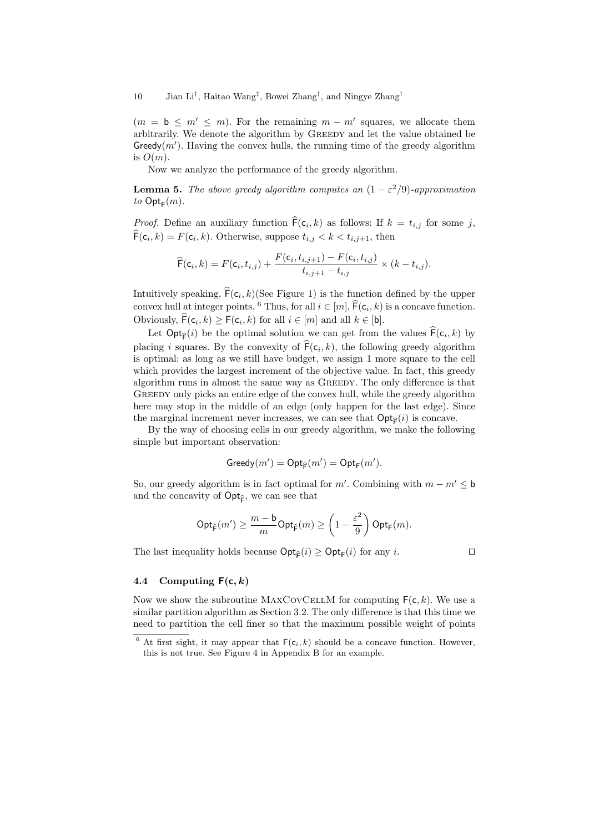10 Jian Li<sup>†</sup>, Haitao Wang<sup>‡</sup>, Bowei Zhang<sup>†</sup>, and Ningye Zhang<sup>†</sup>

 $(m = b \leq m' \leq m)$ . For the remaining  $m - m'$  squares, we allocate them arbitrarily. We denote the algorithm by GREEDY and let the value obtained be Greedy $(m')$ . Having the convex hulls, the running time of the greedy algorithm is  $O(m)$ .

Now we analyze the performance of the greedy algorithm.

**Lemma 5.** The above greedy algorithm computes an  $(1 - \varepsilon^2/9)$ -approximation to  $\mathsf{Opt}_{\mathsf{F}}(m)$ .

*Proof.* Define an auxiliary function  $F(c_i, k)$  as follows: If  $k = t_{i,j}$  for some j,  $F(c_i, k) = F(c_i, k)$ . Otherwise, suppose  $t_{i,j} < k < t_{i,j+1}$ , then

$$
\widehat{\mathsf{F}}(\mathsf{c}_i, k) = F(\mathsf{c}_i, t_{i,j}) + \frac{F(\mathsf{c}_i, t_{i,j+1}) - F(\mathsf{c}_i, t_{i,j})}{t_{i,j+1} - t_{i,j}} \times (k - t_{i,j}).
$$

Intuitively speaking,  $F(c_i, k)(\text{See Figure 1})$  is the function defined by the upper convex hull at integer points. <sup>6</sup> Thus, for all  $i \in [m]$ ,  $\widehat{\mathsf{F}}(\mathsf{c}_i, k)$  is a concave function. Obviously,  $\mathsf{F}(\mathsf{c}_i, k) \geq \mathsf{F}(\mathsf{c}_i, k)$  for all  $i \in [m]$  and all  $k \in [b]$ .

Let  $\text{Opt}_{\widehat{\mathsf{F}}}(i)$  be the optimal solution we can get from the values  $\mathsf{F}(c_i, k)$  by placing *i* squares. By the convexity of  $F(c_i, k)$ , the following greedy algorithm is optimal: as long as we still have budget, we assign 1 more square to the cell which provides the largest increment of the objective value. In fact, this greedy algorithm runs in almost the same way as GREEDY. The only difference is that GREEDY only picks an entire edge of the convex hull, while the greedy algorithm here may stop in the middle of an edge (only happen for the last edge). Since the marginal increment never increases, we can see that  $\mathsf{Opt}_{\mathsf{F}}(i)$  is concave.

By the way of choosing cells in our greedy algorithm, we make the following simple but important observation:

$$
Greedy(m') = Opt_{\widehat{F}}(m') = Opt_F(m').
$$

So, our greedy algorithm is in fact optimal for  $m'$ . Combining with  $m - m' \leq b$ and the concavity of  $\mathsf{Opt}_{\widehat{\mathsf{F}}}$ , we can see that

$$
\operatorname{Opt}_{\widehat{\mathsf{F}}}(m')\geq \frac{m-\mathsf{b}}{m}\text{Opt}_{\widehat{\mathsf{F}}}(m)\geq \left(1-\frac{\varepsilon^2}{9}\right)\text{Opt}_{\mathsf{F}}(m).
$$

The last inequality holds because  $\text{Opt}_{\widehat{\mathsf{F}}}(i) \geq \text{Opt}_{\mathsf{F}}(i)$  for any *i*.

## 4.4 Computing  $F(c, k)$

Now we show the subroutine MAXCOVCELLM for computing  $F(c, k)$ . We use a similar partition algorithm as Section 3.2. The only difference is that this time we need to partition the cell finer so that the maximum possible weight of points

<sup>&</sup>lt;sup>6</sup> At first sight, it may appear that  $F(c_i, k)$  should be a concave function. However, this is not true. See Figure 4 in Appendix B for an example.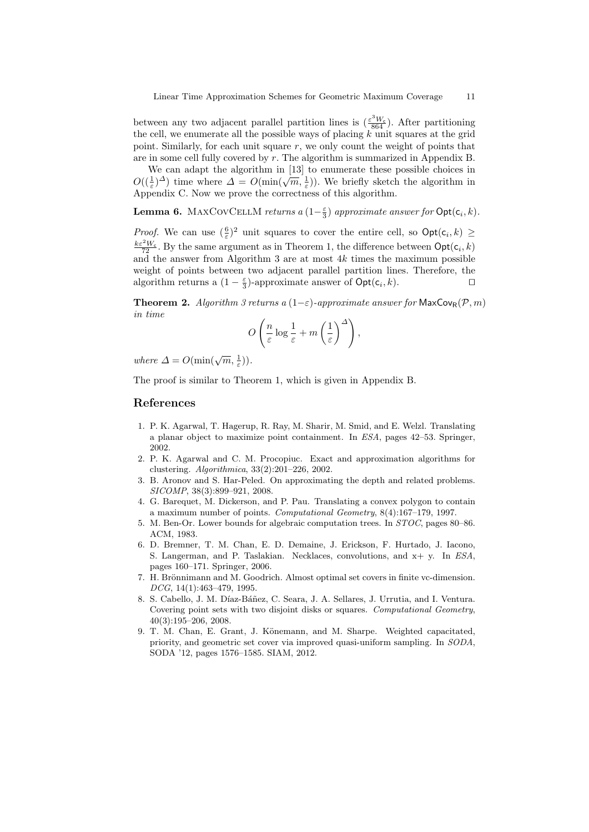between any two adjacent parallel partition lines is  $(\frac{\varepsilon^3 W_c}{864})$ . After partitioning the cell, we enumerate all the possible ways of placing  $k$  unit squares at the grid point. Similarly, for each unit square  $r$ , we only count the weight of points that are in some cell fully covered by r. The algorithm is summarized in Appendix B.

We can adapt the algorithm in [13] to enumerate these possible choices in We can adapt the algorithm in [15] to entimerate these possible choices in  $O((\frac{1}{\varepsilon})^{\Delta})$  time where  $\Delta = O(\min(\sqrt{m}, \frac{1}{\varepsilon}))$ . We briefly sketch the algorithm in Appendix C. Now we prove the correctness of this algorithm.

**Lemma 6.** MAXCOVCELLM returns a  $(1-\frac{\varepsilon}{3})$  approximate answer for  $\text{Opt}(\mathsf{c}_i, k)$ .

*Proof.* We can use  $(\frac{6}{\varepsilon})^2$  unit squares to cover the entire cell, so  $\text{Opt}(c_i, k) \geq$  $\frac{k\varepsilon^2 W_c}{72}$ . By the same argument as in Theorem 1, the difference between  $\textsf{Opt}(\mathsf{c}_i, k)$ and the answer from Algorithm 3 are at most  $4k$  times the maximum possible weight of points between two adjacent parallel partition lines. Therefore, the algorithm returns a  $(1 - \frac{\varepsilon}{3})$ -approximate answer of  $\text{Opt}(c_i, k)$ .

**Theorem 2.** Algorithm 3 returns a  $(1-\varepsilon)$ -approximate answer for MaxCov<sub>R</sub>(P, m) in time

$$
O\left(\frac{n}{\varepsilon}\log\frac{1}{\varepsilon} + m\left(\frac{1}{\varepsilon}\right)^{\Delta}\right),\,
$$

where  $\Delta = O(\min(\sqrt{m}, \frac{1}{\varepsilon}))$ .

The proof is similar to Theorem 1, which is given in Appendix B.

#### References

- 1. P. K. Agarwal, T. Hagerup, R. Ray, M. Sharir, M. Smid, and E. Welzl. Translating a planar object to maximize point containment. In ESA, pages 42–53. Springer, 2002.
- 2. P. K. Agarwal and C. M. Procopiuc. Exact and approximation algorithms for clustering. Algorithmica, 33(2):201–226, 2002.
- 3. B. Aronov and S. Har-Peled. On approximating the depth and related problems. SICOMP, 38(3):899–921, 2008.
- 4. G. Barequet, M. Dickerson, and P. Pau. Translating a convex polygon to contain a maximum number of points. Computational Geometry, 8(4):167–179, 1997.
- 5. M. Ben-Or. Lower bounds for algebraic computation trees. In STOC, pages 80–86. ACM, 1983.
- 6. D. Bremner, T. M. Chan, E. D. Demaine, J. Erickson, F. Hurtado, J. Iacono, S. Langerman, and P. Taslakian. Necklaces, convolutions, and x+ y. In ESA, pages 160–171. Springer, 2006.
- 7. H. Brönnimann and M. Goodrich. Almost optimal set covers in finite vc-dimension. DCG, 14(1):463–479, 1995.
- 8. S. Cabello, J. M. Díaz-Báñez, C. Seara, J. A. Sellares, J. Urrutia, and I. Ventura. Covering point sets with two disjoint disks or squares. Computational Geometry, 40(3):195–206, 2008.
- 9. T. M. Chan, E. Grant, J. Könemann, and M. Sharpe. Weighted capacitated, priority, and geometric set cover via improved quasi-uniform sampling. In SODA, SODA '12, pages 1576–1585. SIAM, 2012.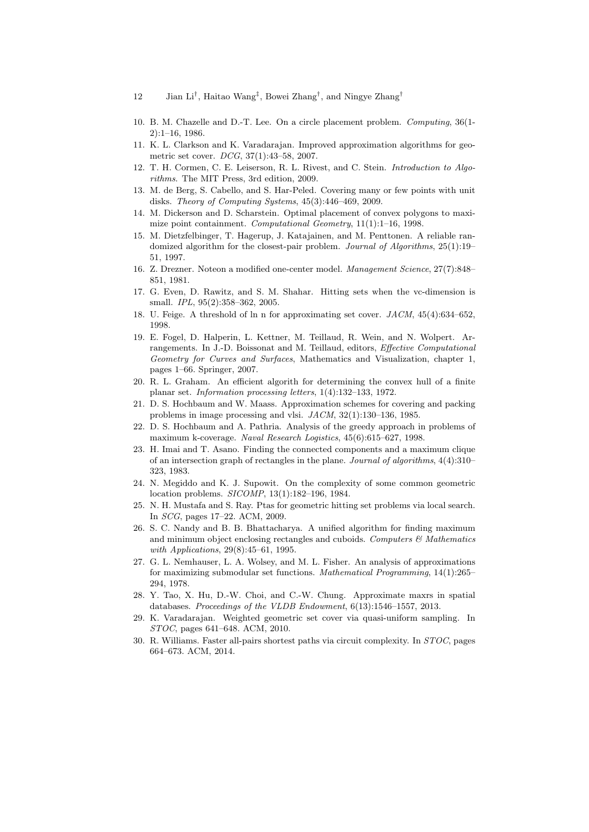- 12 Jian Li<sup>†</sup>, Haitao Wang<sup>‡</sup>, Bowei Zhang<sup>†</sup>, and Ningye Zhang<sup>†</sup>
- 10. B. M. Chazelle and D.-T. Lee. On a circle placement problem. Computing, 36(1- 2):1–16, 1986.
- 11. K. L. Clarkson and K. Varadarajan. Improved approximation algorithms for geometric set cover. DCG, 37(1):43–58, 2007.
- 12. T. H. Cormen, C. E. Leiserson, R. L. Rivest, and C. Stein. Introduction to Algorithms. The MIT Press, 3rd edition, 2009.
- 13. M. de Berg, S. Cabello, and S. Har-Peled. Covering many or few points with unit disks. Theory of Computing Systems, 45(3):446–469, 2009.
- 14. M. Dickerson and D. Scharstein. Optimal placement of convex polygons to maximize point containment. Computational Geometry, 11(1):1–16, 1998.
- 15. M. Dietzfelbinger, T. Hagerup, J. Katajainen, and M. Penttonen. A reliable randomized algorithm for the closest-pair problem. Journal of Algorithms, 25(1):19– 51, 1997.
- 16. Z. Drezner. Noteon a modified one-center model. Management Science, 27(7):848– 851, 1981.
- 17. G. Even, D. Rawitz, and S. M. Shahar. Hitting sets when the vc-dimension is small. IPL, 95(2):358–362, 2005.
- 18. U. Feige. A threshold of ln n for approximating set cover. JACM, 45(4):634–652, 1998.
- 19. E. Fogel, D. Halperin, L. Kettner, M. Teillaud, R. Wein, and N. Wolpert. Arrangements. In J.-D. Boissonat and M. Teillaud, editors, Effective Computational Geometry for Curves and Surfaces, Mathematics and Visualization, chapter 1, pages 1–66. Springer, 2007.
- 20. R. L. Graham. An efficient algorith for determining the convex hull of a finite planar set. Information processing letters, 1(4):132–133, 1972.
- 21. D. S. Hochbaum and W. Maass. Approximation schemes for covering and packing problems in image processing and vlsi. JACM, 32(1):130–136, 1985.
- 22. D. S. Hochbaum and A. Pathria. Analysis of the greedy approach in problems of maximum k-coverage. Naval Research Logistics, 45(6):615–627, 1998.
- 23. H. Imai and T. Asano. Finding the connected components and a maximum clique of an intersection graph of rectangles in the plane. Journal of algorithms, 4(4):310– 323, 1983.
- 24. N. Megiddo and K. J. Supowit. On the complexity of some common geometric location problems. SICOMP, 13(1):182–196, 1984.
- 25. N. H. Mustafa and S. Ray. Ptas for geometric hitting set problems via local search. In SCG, pages 17–22. ACM, 2009.
- 26. S. C. Nandy and B. B. Bhattacharya. A unified algorithm for finding maximum and minimum object enclosing rectangles and cuboids. Computers  $\mathcal{C}_{\mathcal{A}}$  Mathematics with Applications, 29(8):45–61, 1995.
- 27. G. L. Nemhauser, L. A. Wolsey, and M. L. Fisher. An analysis of approximations for maximizing submodular set functions. Mathematical Programming, 14(1):265– 294, 1978.
- 28. Y. Tao, X. Hu, D.-W. Choi, and C.-W. Chung. Approximate maxrs in spatial databases. Proceedings of the VLDB Endowment, 6(13):1546–1557, 2013.
- 29. K. Varadarajan. Weighted geometric set cover via quasi-uniform sampling. In STOC, pages 641–648. ACM, 2010.
- 30. R. Williams. Faster all-pairs shortest paths via circuit complexity. In STOC, pages 664–673. ACM, 2014.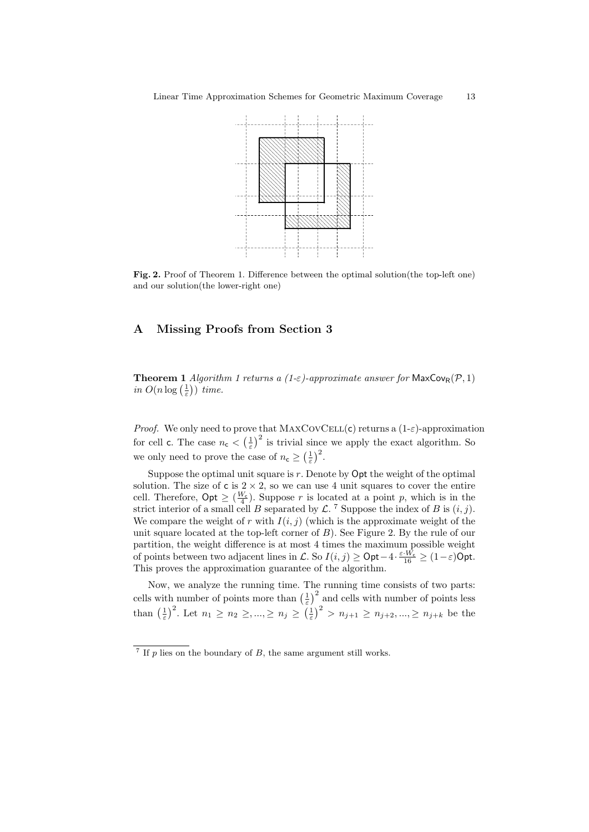

Fig. 2. Proof of Theorem 1. Difference between the optimal solution(the top-left one) and our solution(the lower-right one)

# A Missing Proofs from Section 3

**Theorem 1** Algorithm 1 returns a (1- $\varepsilon$ )-approximate answer for MaxCov<sub>R</sub>( $\mathcal{P}$ , 1) in  $O(n \log(\frac{1}{\varepsilon}))$  time.

*Proof.* We only need to prove that  $MAXCovCELL(c)$  returns a  $(1-\varepsilon)$ -approximation for cell c. The case  $n_c < \left(\frac{1}{\varepsilon}\right)^2$  is trivial since we apply the exact algorithm. So we only need to prove the case of  $n_c \geq \left(\frac{1}{\varepsilon}\right)^2$ .

Suppose the optimal unit square is  $r$ . Denote by  $\mathsf{Opt}$  the weight of the optimal solution. The size of  $c$  is  $2 \times 2$ , so we can use 4 unit squares to cover the entire cell. Therefore,  $\text{Opt} \geq \left(\frac{W_c}{4}\right)$ . Suppose r is located at a point p, which is in the strict interior of a small cell B separated by  $\mathcal{L}$ . <sup>7</sup> Suppose the index of B is  $(i, j)$ . We compare the weight of r with  $I(i, j)$  (which is the approximate weight of the unit square located at the top-left corner of  $B$ ). See Figure 2. By the rule of our partition, the weight difference is at most 4 times the maximum possible weight of points between two adjacent lines in L. So  $I(i, j) \ge \text{Opt} - 4 \cdot \frac{\varepsilon \cdot W_c}{16} \ge (1 - \varepsilon) \text{Opt}.$ This proves the approximation guarantee of the algorithm.

Now, we analyze the running time. The running time consists of two parts: cells with number of points more than  $\left(\frac{1}{\varepsilon}\right)^2$  and cells with number of points less than  $\left(\frac{1}{\varepsilon}\right)^2$ . Let  $n_1 \geq n_2 \geq, ..., \geq n_j \geq \left(\frac{1}{\varepsilon}\right)^2 > n_{j+1} \geq n_{j+2}, ..., \geq n_{j+k}$  be the

<sup>&</sup>lt;sup>7</sup> If  $p$  lies on the boundary of  $B$ , the same argument still works.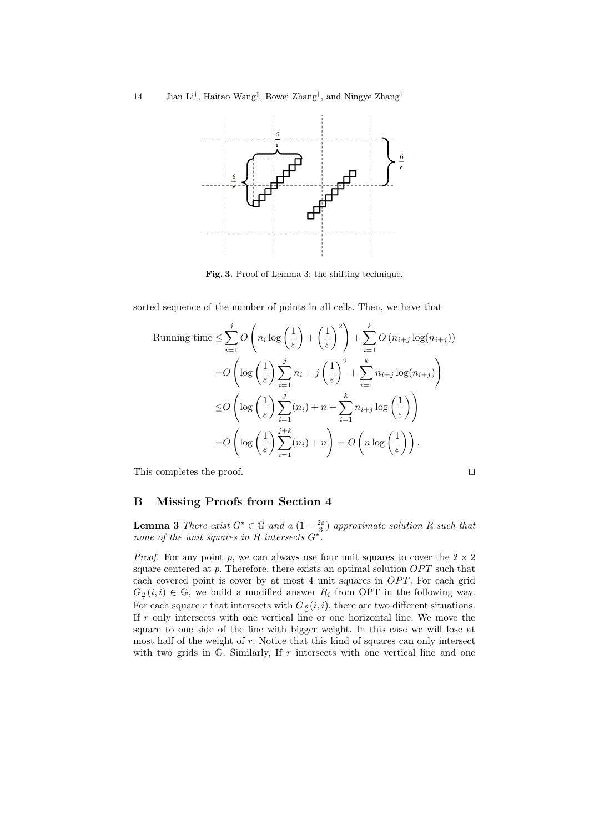

Fig. 3. Proof of Lemma 3: the shifting technique.

sorted sequence of the number of points in all cells. Then, we have that

Running time 
$$
\leq \sum_{i=1}^{j} O\left(n_i \log\left(\frac{1}{\varepsilon}\right) + \left(\frac{1}{\varepsilon}\right)^2\right) + \sum_{i=1}^{k} O\left(n_{i+j} \log(n_{i+j})\right)
$$
  
\n
$$
= O\left(\log\left(\frac{1}{\varepsilon}\right) \sum_{i=1}^{j} n_i + j\left(\frac{1}{\varepsilon}\right)^2 + \sum_{i=1}^{k} n_{i+j} \log(n_{i+j})\right)
$$
  
\n
$$
\leq O\left(\log\left(\frac{1}{\varepsilon}\right) \sum_{i=1}^{j} (n_i) + n + \sum_{i=1}^{k} n_{i+j} \log\left(\frac{1}{\varepsilon}\right)\right)
$$
  
\n
$$
= O\left(\log\left(\frac{1}{\varepsilon}\right) \sum_{i=1}^{j+k} (n_i) + n\right) = O\left(n \log\left(\frac{1}{\varepsilon}\right)\right).
$$

This completes the proof.  $\Box$ 

# B Missing Proofs from Section 4

**Lemma 3** There exist  $G^* \in \mathbb{G}$  and a  $(1 - \frac{2\varepsilon}{3})$  approximate solution R such that none of the unit squares in R intersects  $G^*$ .

*Proof.* For any point p, we can always use four unit squares to cover the  $2 \times 2$ square centered at p. Therefore, there exists an optimal solution  $OPT$  such that each covered point is cover by at most  $4$  unit squares in  $OPT$ . For each grid  $G_{\frac{6}{\varepsilon}}(i, i) \in \mathbb{G}$ , we build a modified answer  $R_i$  from OPT in the following way. For each square r that intersects with  $G_{\underline{\epsilon}}(i, i)$ , there are two different situations. If r only intersects with one vertical line or one horizontal line. We move the square to one side of the line with bigger weight. In this case we will lose at most half of the weight of r. Notice that this kind of squares can only intersect with two grids in  $G$ . Similarly, If  $r$  intersects with one vertical line and one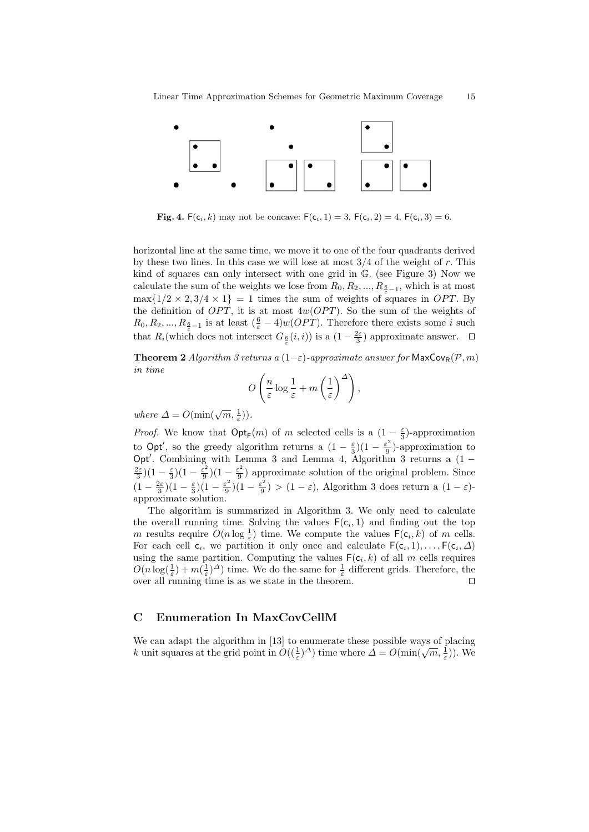

**Fig. 4.**  $F(c_i, k)$  may not be concave:  $F(c_i, 1) = 3$ ,  $F(c_i, 2) = 4$ ,  $F(c_i, 3) = 6$ .

horizontal line at the same time, we move it to one of the four quadrants derived by these two lines. In this case we will lose at most  $3/4$  of the weight of r. This kind of squares can only intersect with one grid in G. (see Figure 3) Now we calculate the sum of the weights we lose from  $R_0, R_2, ..., R_{\frac{6}{\varepsilon}-1}$ , which is at most  $\max\{1/2 \times 2, 3/4 \times 1\} = 1$  times the sum of weights of squares in OPT. By the definition of  $OPT$ , it is at most  $4w(OPT)$ . So the sum of the weights of  $R_0, R_2, ..., R_{\frac{6}{\varepsilon}-1}$  is at least  $(\frac{6}{\varepsilon}-4)w(OPT)$ . Therefore there exists some i such that  $R_i$ (which does not intersect  $G_{\frac{\epsilon}{\varepsilon}}(i,i)$ ) is a  $(1-\frac{2\varepsilon}{3})$  approximate answer.  $\Box$ 

**Theorem 2** Algorithm 3 returns a  $(1-\varepsilon)$ -approximate answer for MaxCov<sub>R</sub>(P, m) in time

$$
O\left(\frac{n}{\varepsilon}\log\frac{1}{\varepsilon} + m\left(\frac{1}{\varepsilon}\right)^{\Delta}\right),\,
$$

where  $\Delta = O(\min(\sqrt{m}, \frac{1}{\varepsilon}))$ .

*Proof.* We know that  $\mathsf{Opt}_{\mathsf{F}}(m)$  of m selected cells is a  $(1-\frac{\varepsilon}{3})$ -approximation to Opt', so the greedy algorithm returns a  $(1 - \frac{\varepsilon}{3})(1 - \frac{\varepsilon^2}{9})$  $\frac{\varepsilon^2}{9}$ )-approximation to Opt'. Combining with Lemma 3 and Lemma 4, Algorithm 3 returns a  $(1 \frac{2\varepsilon}{3}(1-\frac{\varepsilon}{3})(1-\frac{\varepsilon^2}{9})$  $(\frac{\varepsilon^2}{9})(1-\frac{\varepsilon^2}{9})$  $\frac{\sigma^2}{9}$ ) approximate solution of the original problem. Since  $(1-\frac{2\varepsilon}{3})(1-\frac{\varepsilon}{3})(1-\frac{\varepsilon^2}{9})$  $\frac{\varepsilon^2}{9}(1-\frac{\varepsilon^2}{9})$  $(\frac{\varepsilon^2}{9})$  >  $(1-\varepsilon)$ , Algorithm 3 does return a  $(1-\varepsilon)$ approximate solution.

The algorithm is summarized in Algorithm 3. We only need to calculate the overall running time. Solving the values  $F(c_i, 1)$  and finding out the top m results require  $O(n \log \frac{1}{\varepsilon})$  time. We compute the values  $\mathsf{F}(\mathsf{c}_i, k)$  of m cells. For each cell  $c_i$ , we partition it only once and calculate  $F(c_i, 1), \ldots, F(c_i, \Delta)$ using the same partition. Computing the values  $F(c_i, k)$  of all m cells requires  $O(n \log(\frac{1}{\varepsilon}) + m(\frac{1}{\varepsilon})^{\Delta})$  time. We do the same for  $\frac{1}{\varepsilon}$  different grids. Therefore, the over all running time is as we state in the theorem.  $\Box$ 

## C Enumeration In MaxCovCellM

We can adapt the algorithm in [13] to enumerate these possible ways of placing we can adapt the algorithm in [15] to entimerate these possible ways of placing k unit squares at the grid point in  $O((\frac{1}{\epsilon})^{\Delta})$  time where  $\Delta = O(\min(\sqrt{m}, \frac{1}{\epsilon}))$ . We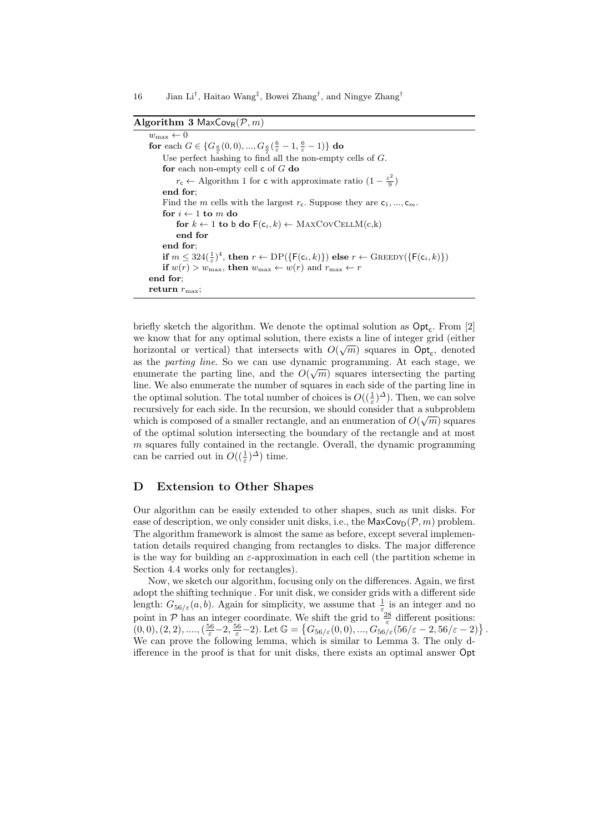#### 16 Jian Li<sup>†</sup>, Haitao Wang<sup>‡</sup>, Bowei Zhang<sup>†</sup>, and Ningye Zhang<sup>†</sup>

Algorithm 3 MaxCov<sub>R</sub> $(\mathcal{P}, m)$ 

 $w_{\text{max}} \leftarrow 0$ for each  $G \in \{G_{\frac{6}{\varepsilon}}(0,0),...,G_{\frac{6}{\varepsilon}}(\frac{6}{\varepsilon}-1,\frac{6}{\varepsilon}-1)\}$  do Use perfect hashing to find all the non-empty cells of  $G$ . for each non-empty cell  $\mathsf c$  of  $G$  do  $r_c \leftarrow$  Algorithm 1 for c with approximate ratio  $\left(1 - \frac{\varepsilon^2}{9}\right)$  $\frac{5}{9}$ end for; Find the m cells with the largest  $r_c$ . Suppose they are  $c_1, ..., c_m$ . for  $i \leftarrow 1$  to m do for  $k \leftarrow 1$  to b do  $F(c_i, k) \leftarrow \text{MAXCovCELLM}(c, k)$ end for end for; if  $m \leq 324(\frac{1}{\varepsilon})^4$ , then  $r \leftarrow \text{DP}(\{\mathsf{F}(\mathsf{c}_i, k)\})$  else  $r \leftarrow \text{Green}( \{\mathsf{F}(\mathsf{c}_i, k)\})$ if  $w(r) > w_{\text{max}}$ , then  $w_{\text{max}} \leftarrow w(r)$  and  $r_{\text{max}} \leftarrow r$ end for; return  $r_{\text{max}}$ ;

briefly sketch the algorithm. We denote the optimal solution as  $\text{Opt}_{\mathsf{c}}$ . From [2] we know that for any optimal solution, there exists a line of integer grid (either horizontal or vertical) that intersects with  $O(\sqrt{m})$  squares in  $\text{Opt}_{\mathsf{c}}$ , denoted as the *parting line*. So we can use dynamic programming. At each stage, we enumerate the parting line, and the  $O(\sqrt{m})$  squares intersecting the parting line. We also enumerate the number of squares in each side of the parting line in the optimal solution. The total number of choices is  $O((\frac{1}{\varepsilon})^{\Delta})$ . Then, we can solve recursively for each side. In the recursion, we should consider that a subproblem which is composed of a smaller rectangle, and an enumeration of  $O(\sqrt{m})$  squares of the optimal solution intersecting the boundary of the rectangle and at most  $m$  squares fully contained in the rectangle. Overall, the dynamic programming can be carried out in  $O((\frac{1}{\varepsilon})^{\Delta})$  time.

## D Extension to Other Shapes

Our algorithm can be easily extended to other shapes, such as unit disks. For ease of description, we only consider unit disks, i.e., the  $\mathsf{MaxCov}_D(\mathcal{P}, m)$  problem. The algorithm framework is almost the same as before, except several implementation details required changing from rectangles to disks. The major difference is the way for building an  $\varepsilon$ -approximation in each cell (the partition scheme in Section 4.4 works only for rectangles).

Now, we sketch our algorithm, focusing only on the differences. Again, we first adopt the shifting technique . For unit disk, we consider grids with a different side length:  $G_{56/\varepsilon}(a, b)$ . Again for simplicity, we assume that  $\frac{1}{\varepsilon}$  is an integer and no point in P has an integer coordinate. We shift the grid to  $\frac{28}{\varepsilon}$  different positions:  $\{ (0,0), (2,2), ...., (\frac{56}{\varepsilon}-2, \frac{56}{\varepsilon}-2) . \text{ Let } \mathbb{G}=\left\{ G_{56/\varepsilon}(0,0), ..., G_{56/\varepsilon}(56/\varepsilon-2, 56/\varepsilon-2) \right\}.$ We can prove the following lemma, which is similar to Lemma 3. The only difference in the proof is that for unit disks, there exists an optimal answer Opt